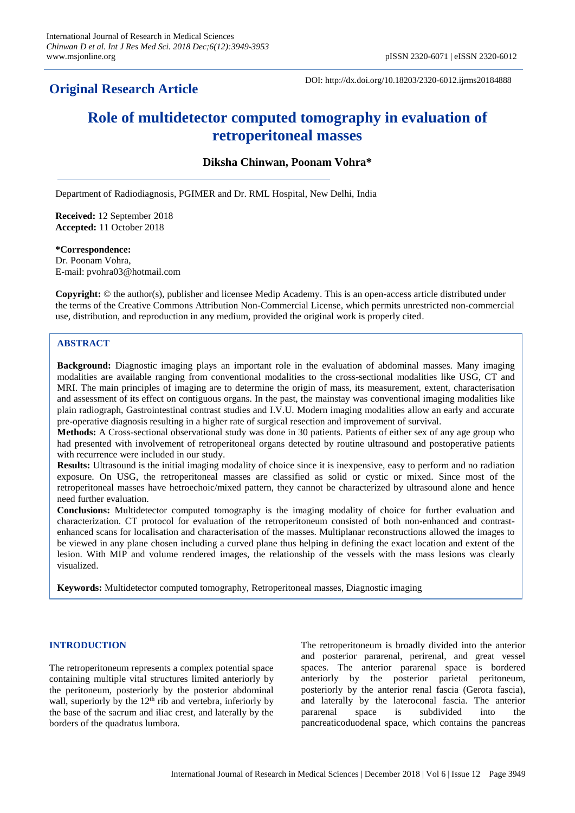# **Original Research Article**

DOI: http://dx.doi.org/10.18203/2320-6012.ijrms20184888

# **Role of multidetector computed tomography in evaluation of retroperitoneal masses**

# **Diksha Chinwan, Poonam Vohra\***

Department of Radiodiagnosis, PGIMER and Dr. RML Hospital, New Delhi, India

**Received:** 12 September 2018 **Accepted:** 11 October 2018

**\*Correspondence:**

Dr. Poonam Vohra, E-mail: pvohra03@hotmail.com

**Copyright:** © the author(s), publisher and licensee Medip Academy. This is an open-access article distributed under the terms of the Creative Commons Attribution Non-Commercial License, which permits unrestricted non-commercial use, distribution, and reproduction in any medium, provided the original work is properly cited.

# **ABSTRACT**

**Background:** Diagnostic imaging plays an important role in the evaluation of abdominal masses. Many imaging modalities are available ranging from conventional modalities to the cross-sectional modalities like USG, CT and MRI. The main principles of imaging are to determine the origin of mass, its measurement, extent, characterisation and assessment of its effect on contiguous organs. In the past, the mainstay was conventional imaging modalities like plain radiograph, Gastrointestinal contrast studies and I.V.U. Modern imaging modalities allow an early and accurate pre-operative diagnosis resulting in a higher rate of surgical resection and improvement of survival.

**Methods:** A Cross-sectional observational study was done in 30 patients. Patients of either sex of any age group who had presented with involvement of retroperitoneal organs detected by routine ultrasound and postoperative patients with recurrence were included in our study.

**Results:** Ultrasound is the initial imaging modality of choice since it is inexpensive, easy to perform and no radiation exposure. On USG, the retroperitoneal masses are classified as solid or cystic or mixed. Since most of the retroperitoneal masses have hetroechoic/mixed pattern, they cannot be characterized by ultrasound alone and hence need further evaluation.

**Conclusions:** Multidetector computed tomography is the imaging modality of choice for further evaluation and characterization. CT protocol for evaluation of the retroperitoneum consisted of both non-enhanced and contrastenhanced scans for localisation and characterisation of the masses. Multiplanar reconstructions allowed the images to be viewed in any plane chosen including a curved plane thus helping in defining the exact location and extent of the lesion. With MIP and volume rendered images, the relationship of the vessels with the mass lesions was clearly visualized.

**Keywords:** Multidetector computed tomography, Retroperitoneal masses, Diagnostic imaging

# **INTRODUCTION**

The retroperitoneum represents a complex potential space containing multiple vital structures limited anteriorly by the peritoneum, posteriorly by the posterior abdominal wall, superiorly by the  $12<sup>th</sup>$  rib and vertebra, inferiorly by the base of the sacrum and iliac crest, and laterally by the borders of the quadratus lumbora.

The retroperitoneum is broadly divided into the anterior and posterior pararenal, perirenal, and great vessel spaces. The anterior pararenal space is bordered anteriorly by the posterior parietal peritoneum, posteriorly by the anterior renal fascia (Gerota fascia), and laterally by the lateroconal fascia. The anterior pararenal space is subdivided into the pancreaticoduodenal space, which contains the pancreas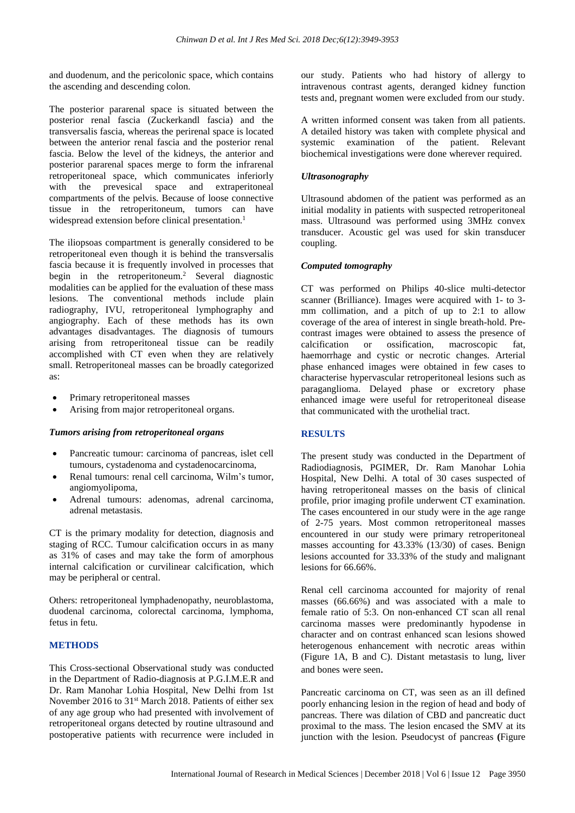and duodenum, and the pericolonic space, which contains the ascending and descending colon.

The posterior pararenal space is situated between the posterior renal fascia (Zuckerkandl fascia) and the transversalis fascia, whereas the perirenal space is located between the anterior renal fascia and the posterior renal fascia. Below the level of the kidneys, the anterior and posterior pararenal spaces merge to form the infrarenal retroperitoneal space, which communicates inferiorly with the prevesical space and extraperitoneal compartments of the pelvis. Because of loose connective tissue in the retroperitoneum, tumors can have widespread extension before clinical presentation. 1

The iliopsoas compartment is generally considered to be retroperitoneal even though it is behind the transversalis fascia because it is frequently involved in processes that begin in the retroperitoneum. <sup>2</sup> Several diagnostic modalities can be applied for the evaluation of these mass lesions. The conventional methods include plain radiography, IVU, retroperitoneal lymphography and angiography. Each of these methods has its own advantages disadvantages. The diagnosis of tumours arising from retroperitoneal tissue can be readily accomplished with CT even when they are relatively small. Retroperitoneal masses can be broadly categorized as:

- Primary retroperitoneal masses
- Arising from major retroperitoneal organs.

#### *Tumors arising from retroperitoneal organs*

- Pancreatic tumour: carcinoma of pancreas, islet cell tumours, cystadenoma and cystadenocarcinoma,
- Renal tumours: renal cell carcinoma, Wilm's tumor, angiomyolipoma,
- Adrenal tumours: adenomas, adrenal carcinoma, adrenal metastasis.

CT is the primary modality for detection, diagnosis and staging of RCC. Tumour calcification occurs in as many as 31% of cases and may take the form of amorphous internal calcification or curvilinear calcification, which may be peripheral or central.

Others: retroperitoneal lymphadenopathy, neuroblastoma, duodenal carcinoma, colorectal carcinoma, lymphoma, fetus in fetu.

# **METHODS**

This Cross-sectional Observational study was conducted in the Department of Radio-diagnosis at P.G.I.M.E.R and Dr. Ram Manohar Lohia Hospital, New Delhi from 1st November 2016 to 31<sup>st</sup> March 2018. Patients of either sex of any age group who had presented with involvement of retroperitoneal organs detected by routine ultrasound and postoperative patients with recurrence were included in our study. Patients who had history of allergy to intravenous contrast agents, deranged kidney function tests and, pregnant women were excluded from our study.

A written informed consent was taken from all patients. A detailed history was taken with complete physical and systemic examination of the patient. Relevant biochemical investigations were done wherever required.

#### *Ultrasonography*

Ultrasound abdomen of the patient was performed as an initial modality in patients with suspected retroperitoneal mass. Ultrasound was performed using 3MHz convex transducer. Acoustic gel was used for skin transducer coupling.

#### *Computed tomography*

CT was performed on Philips 40-slice multi-detector scanner (Brilliance). Images were acquired with 1- to 3 mm collimation, and a pitch of up to 2:1 to allow coverage of the area of interest in single breath-hold. Precontrast images were obtained to assess the presence of calcification or ossification, macroscopic fat, haemorrhage and cystic or necrotic changes. Arterial phase enhanced images were obtained in few cases to characterise hypervascular retroperitoneal lesions such as paraganglioma. Delayed phase or excretory phase enhanced image were useful for retroperitoneal disease that communicated with the urothelial tract.

#### **RESULTS**

The present study was conducted in the Department of Radiodiagnosis, PGIMER, Dr. Ram Manohar Lohia Hospital, New Delhi. A total of 30 cases suspected of having retroperitoneal masses on the basis of clinical profile, prior imaging profile underwent CT examination. The cases encountered in our study were in the age range of 2-75 years. Most common retroperitoneal masses encountered in our study were primary retroperitoneal masses accounting for 43.33% (13/30) of cases. Benign lesions accounted for 33.33% of the study and malignant lesions for 66.66%

Renal cell carcinoma accounted for majority of renal masses (66.66%) and was associated with a male to female ratio of 5:3. On non-enhanced CT scan all renal carcinoma masses were predominantly hypodense in character and on contrast enhanced scan lesions showed heterogenous enhancement with necrotic areas within (Figure 1A, B and C). Distant metastasis to lung, liver and bones were seen.

Pancreatic carcinoma on CT, was seen as an ill defined poorly enhancing lesion in the region of head and body of pancreas. There was dilation of CBD and pancreatic duct proximal to the mass. The lesion encased the SMV at its junction with the lesion. Pseudocyst of pancreas **(**Figure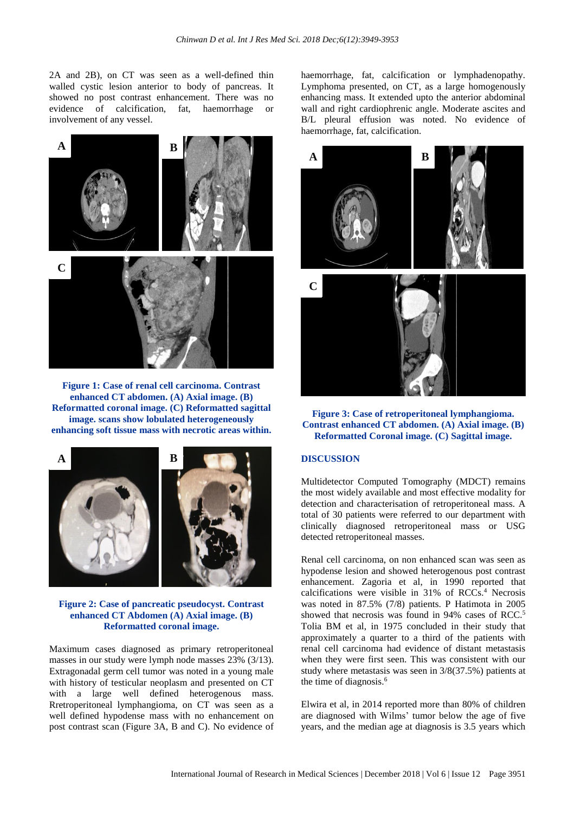2A and 2B), on CT was seen as a well-defined thin walled cystic lesion anterior to body of pancreas. It showed no post contrast enhancement. There was no evidence of calcification, fat, haemorrhage or involvement of any vessel.



**Figure 1: Case of renal cell carcinoma. Contrast enhanced CT abdomen. (A) Axial image. (B) Reformatted coronal image. (C) Reformatted sagittal image. scans show lobulated heterogeneously enhancing soft tissue mass with necrotic areas within.**



**Figure 2: Case of pancreatic pseudocyst. Contrast enhanced CT Abdomen (A) Axial image. (B) Reformatted coronal image.**

Maximum cases diagnosed as primary retroperitoneal masses in our study were lymph node masses 23% (3/13). Extragonadal germ cell tumor was noted in a young male with history of testicular neoplasm and presented on CT with a large well defined heterogenous mass. Rretroperitoneal lymphangioma, on CT was seen as a well defined hypodense mass with no enhancement on post contrast scan (Figure 3A, B and C). No evidence of haemorrhage, fat, calcification or lymphadenopathy. Lymphoma presented, on CT, as a large homogenously enhancing mass. It extended upto the anterior abdominal wall and right cardiophrenic angle. Moderate ascites and B/L pleural effusion was noted. No evidence of haemorrhage, fat, calcification.



**Figure 3: Case of retroperitoneal lymphangioma. Contrast enhanced CT abdomen. (A) Axial image. (B) Reformatted Coronal image. (C) Sagittal image.**

### **DISCUSSION**

Multidetector Computed Tomography (MDCT) remains the most widely available and most effective modality for detection and characterisation of retroperitoneal mass. A total of 30 patients were referred to our department with clinically diagnosed retroperitoneal mass or USG detected retroperitoneal masses.

Renal cell carcinoma, on non enhanced scan was seen as hypodense lesion and showed heterogenous post contrast enhancement. Zagoria et al, in 1990 reported that calcifications were visible in 31% of RCCs.<sup>4</sup> Necrosis was noted in 87.5% (7/8) patients. P Hatimota in 2005 showed that necrosis was found in 94% cases of RCC.<sup>[5](javascript:void(0);)</sup> [Tolia](javascript:void(0);) BM et al, in 1975 concluded in their study that approximately a quarter to a third of the patients with renal cell carcinoma had evidence of distant metastasis when they were first seen. This was consistent with our study where metastasis was seen in 3/8(37.5%) patients at the time of diagnosis.<sup>6</sup>

Elwira et al, in 2014 reported more than 80% of children are diagnosed with Wilms' tumor below the age of five years, and the median age at diagnosis is 3.5 years which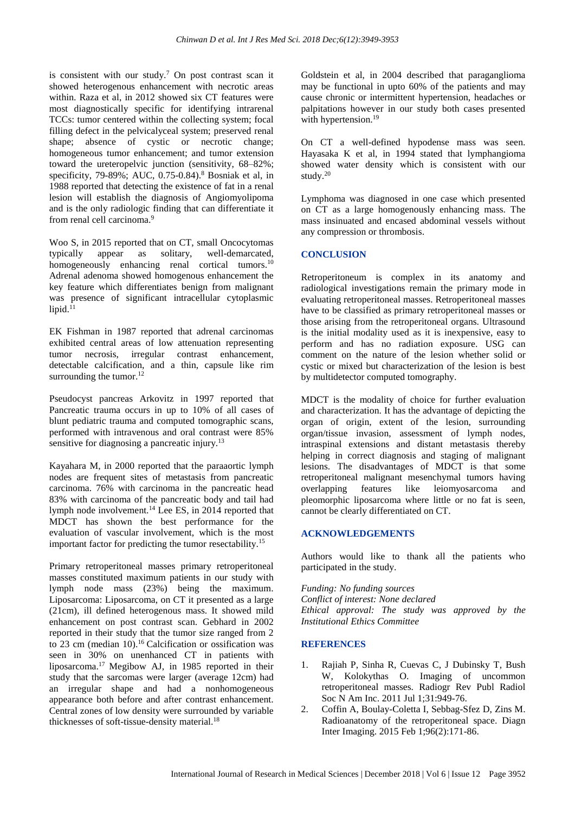is consistent with our study.<sup>7</sup> On post contrast scan it showed heterogenous enhancement with necrotic areas within. Raza et al, in 2012 showed six CT features were most diagnostically specific for identifying intrarenal TCCs: tumor centered within the collecting system; focal filling defect in the pelvicalyceal system; preserved renal shape; absence of cystic or necrotic change; homogeneous tumor enhancement; and tumor extension toward the ureteropelvic junction (sensitivity, 68–82%; specificity, 79-89%; AUC, 0.75-0.84).<sup>8</sup> Bosniak et al, in 1988 reported that detecting the existence of fat in a renal lesion will establish the diagnosis of Angiomyolipoma and is the only radiologic finding that can differentiate it from renal cell carcinoma.<sup>9</sup>

[Woo](https://www.ncbi.nlm.nih.gov/pubmed/?term=Woo%20S%5BAuthor%5D&cauthor=true&cauthor_uid=25598678) S, in 2015 reported that on CT, small Oncocytomas typically appear as solitary, well-demarcated, homogeneously enhancing renal cortical tumors.<sup>10</sup> Adrenal adenoma showed homogenous enhancement the key feature which differentiates benign from malignant was presence of significant intracellular cytoplasmic  $lipid.<sup>11</sup>$ 

EK Fishman in 1987 reported that adrenal carcinomas exhibited central areas of low attenuation representing tumor necrosis, irregular contrast enhancement, detectable calcification, and a thin, capsule like rim surrounding the tumor.<sup>12</sup>

Pseudocyst pancreas Arkovitz in 1997 reported that Pancreatic trauma occurs in up to 10% of all cases of blunt pediatric trauma and computed tomographic scans, performed with intravenous and oral contrast were 85% sensitive for diagnosing a pancreatic injury.<sup>13</sup>

[Kayahara](https://onlinelibrary.wiley.com/action/doSearch?ContribAuthorStored=Kayahara%2C+Masato) M, in 2000 reported that the paraaortic lymph nodes are frequent sites of metastasis from pancreatic carcinoma. 76% with carcinoma in the pancreatic head 83% with carcinoma of the pancreatic body and tail had lymph node involvement.<sup>14</sup> [Lee](https://www.ncbi.nlm.nih.gov/pubmed/?term=Lee%20ES%5BAuthor%5D&cauthor=true&cauthor_uid=24976723) ES, in 2014 reported that MDCT has shown the best performance for the evaluation of vascular involvement, which is the most important factor for predicting the tumor resectability.<sup>15</sup>

Primary retroperitoneal masses primary retroperitoneal masses constituted maximum patients in our study with lymph node mass (23%) being the maximum. Liposarcoma: Liposarcoma, on CT it presented as a large (21cm), ill defined heterogenous mass. It showed mild enhancement on post contrast scan. Gebhard in 2002 reported in their study that the tumor size ranged from 2 to 23 cm (median  $10$ ).<sup>16</sup> Calcification or ossification was seen in 30% on unenhanced CT in patients with liposarcoma.<sup>17</sup> Megibow AJ, in 1985 reported in their study that the sarcomas were larger (average 12cm) had an irregular shape and had a nonhomogeneous appearance both before and after contrast enhancement. Central zones of low density were surrounded by variable thicknesses of soft-tissue-density material.<sup>18</sup>

Goldstein et al, in 2004 described that paraganglioma may be functional in upto 60% of the patients and may cause chronic or intermittent hypertension, headaches or palpitations however in our study both cases presented with hypertension.<sup>19</sup>

On CT a well-defined hypodense mass was seen. Hayasaka K et al, in 1994 stated that lymphangioma showed water density which is consistent with our study.<sup>20</sup>

Lymphoma was diagnosed in one case which presented on CT as a large homogenously enhancing mass. The mass insinuated and encased abdominal vessels without any compression or thrombosis.

# **CONCLUSION**

Retroperitoneum is complex in its anatomy and radiological investigations remain the primary mode in evaluating retroperitoneal masses. Retroperitoneal masses have to be classified as primary retroperitoneal masses or those arising from the retroperitoneal organs. Ultrasound is the initial modality used as it is inexpensive, easy to perform and has no radiation exposure. USG can comment on the nature of the lesion whether solid or cystic or mixed but characterization of the lesion is best by multidetector computed tomography.

MDCT is the modality of choice for further evaluation and characterization. It has the advantage of depicting the organ of origin, extent of the lesion, surrounding organ/tissue invasion, assessment of lymph nodes, intraspinal extensions and distant metastasis thereby helping in correct diagnosis and staging of malignant lesions. The disadvantages of MDCT is that some retroperitoneal malignant mesenchymal tumors having overlapping features like leiomyosarcoma and pleomorphic liposarcoma where little or no fat is seen, cannot be clearly differentiated on CT.

# **ACKNOWLEDGEMENTS**

Authors would like to thank all the patients who participated in the study.

*Funding: No funding sources Conflict of interest: None declared Ethical approval: The study was approved by the Institutional Ethics Committee*

# **REFERENCES**

- 1. Rajiah P, Sinha R, Cuevas C, J Dubinsky T, Bush W, Kolokythas O. Imaging of uncommon retroperitoneal masses. Radiogr Rev Publ Radiol Soc N Am Inc. 2011 Jul 1;31:949-76.
- 2. Coffin A, Boulay-Coletta I, Sebbag-Sfez D, Zins M. Radioanatomy of the retroperitoneal space. Diagn Inter Imaging. 2015 Feb 1;96(2):171-86.